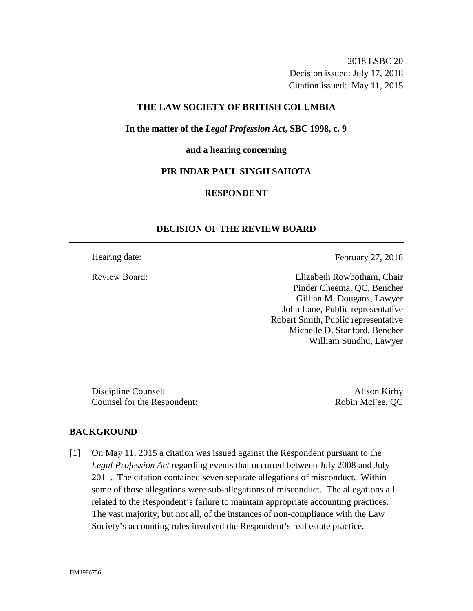2018 LSBC 20 Decision issued: July 17, 2018 Citation issued: May 11, 2015

# **THE LAW SOCIETY OF BRITISH COLUMBIA**

**In the matter of the** *Legal Profession Act***, SBC 1998, c. 9** 

#### **and a hearing concerning**

### **PIR INDAR PAUL SINGH SAHOTA**

# **RESPONDENT**

# **DECISION OF THE REVIEW BOARD**

Hearing date: February 27, 2018

Review Board: Elizabeth Rowbotham, Chair Pinder Cheema, QC, Bencher Gillian M. Dougans, Lawyer John Lane, Public representative Robert Smith, Public representative Michelle D. Stanford, Bencher William Sundhu, Lawyer

Discipline Counsel: Alison Kirby Counsel for the Respondent: Robin McFee, QC

#### **BACKGROUND**

[1] On May 11, 2015 a citation was issued against the Respondent pursuant to the *Legal Profession Act* regarding events that occurred between July 2008 and July 2011. The citation contained seven separate allegations of misconduct. Within some of those allegations were sub-allegations of misconduct. The allegations all related to the Respondent's failure to maintain appropriate accounting practices. The vast majority, but not all, of the instances of non-compliance with the Law Society's accounting rules involved the Respondent's real estate practice.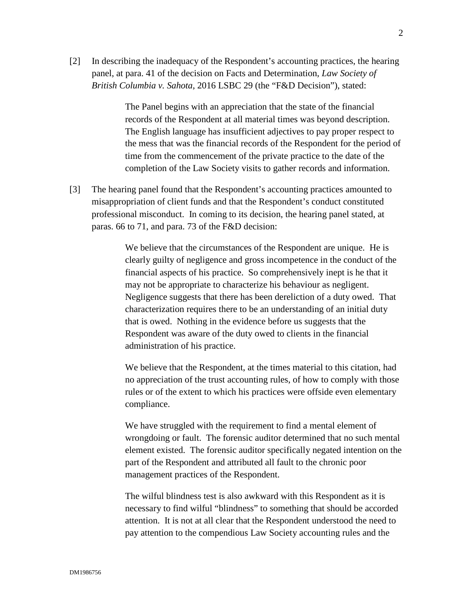[2] In describing the inadequacy of the Respondent's accounting practices, the hearing panel, at para. 41 of the decision on Facts and Determination, *Law Society of British Columbia v. Sahota*, 2016 LSBC 29 (the "F&D Decision"), stated:

> The Panel begins with an appreciation that the state of the financial records of the Respondent at all material times was beyond description. The English language has insufficient adjectives to pay proper respect to the mess that was the financial records of the Respondent for the period of time from the commencement of the private practice to the date of the completion of the Law Society visits to gather records and information.

[3] The hearing panel found that the Respondent's accounting practices amounted to misappropriation of client funds and that the Respondent's conduct constituted professional misconduct. In coming to its decision, the hearing panel stated, at paras. 66 to 71, and para. 73 of the F&D decision:

> We believe that the circumstances of the Respondent are unique. He is clearly guilty of negligence and gross incompetence in the conduct of the financial aspects of his practice. So comprehensively inept is he that it may not be appropriate to characterize his behaviour as negligent. Negligence suggests that there has been dereliction of a duty owed. That characterization requires there to be an understanding of an initial duty that is owed. Nothing in the evidence before us suggests that the Respondent was aware of the duty owed to clients in the financial administration of his practice.

We believe that the Respondent, at the times material to this citation, had no appreciation of the trust accounting rules, of how to comply with those rules or of the extent to which his practices were offside even elementary compliance.

We have struggled with the requirement to find a mental element of wrongdoing or fault. The forensic auditor determined that no such mental element existed. The forensic auditor specifically negated intention on the part of the Respondent and attributed all fault to the chronic poor management practices of the Respondent.

The wilful blindness test is also awkward with this Respondent as it is necessary to find wilful "blindness" to something that should be accorded attention. It is not at all clear that the Respondent understood the need to pay attention to the compendious Law Society accounting rules and the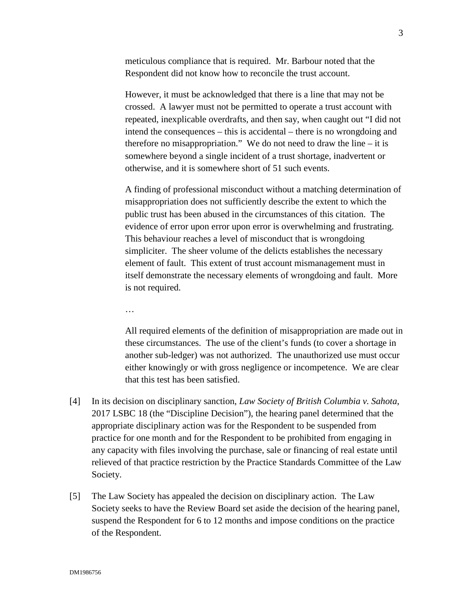meticulous compliance that is required. Mr. Barbour noted that the Respondent did not know how to reconcile the trust account.

However, it must be acknowledged that there is a line that may not be crossed. A lawyer must not be permitted to operate a trust account with repeated, inexplicable overdrafts, and then say, when caught out "I did not intend the consequences – this is accidental – there is no wrongdoing and therefore no misappropriation." We do not need to draw the line  $-$  it is somewhere beyond a single incident of a trust shortage, inadvertent or otherwise, and it is somewhere short of 51 such events.

A finding of professional misconduct without a matching determination of misappropriation does not sufficiently describe the extent to which the public trust has been abused in the circumstances of this citation. The evidence of error upon error upon error is overwhelming and frustrating. This behaviour reaches a level of misconduct that is wrongdoing simpliciter. The sheer volume of the delicts establishes the necessary element of fault. This extent of trust account mismanagement must in itself demonstrate the necessary elements of wrongdoing and fault. More is not required.

…

All required elements of the definition of misappropriation are made out in these circumstances. The use of the client's funds (to cover a shortage in another sub-ledger) was not authorized. The unauthorized use must occur either knowingly or with gross negligence or incompetence. We are clear that this test has been satisfied.

- [4] In its decision on disciplinary sanction, *Law Society of British Columbia v. Sahota*, 2017 LSBC 18 (the "Discipline Decision"), the hearing panel determined that the appropriate disciplinary action was for the Respondent to be suspended from practice for one month and for the Respondent to be prohibited from engaging in any capacity with files involving the purchase, sale or financing of real estate until relieved of that practice restriction by the Practice Standards Committee of the Law Society.
- [5] The Law Society has appealed the decision on disciplinary action. The Law Society seeks to have the Review Board set aside the decision of the hearing panel, suspend the Respondent for 6 to 12 months and impose conditions on the practice of the Respondent.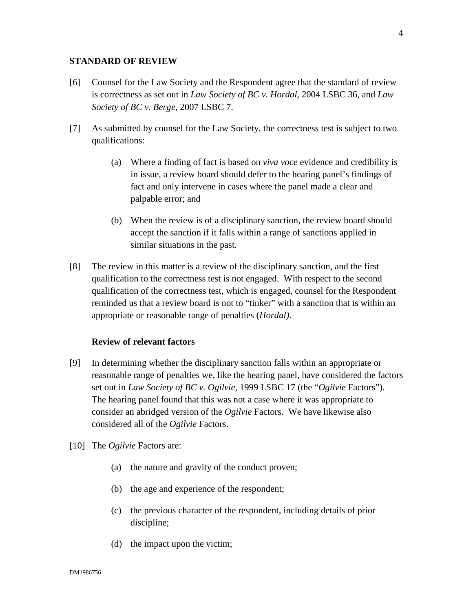### **STANDARD OF REVIEW**

- [6] Counsel for the Law Society and the Respondent agree that the standard of review is correctness as set out in *Law Society of BC v. Hordal*, 2004 LSBC 36, and *Law Society of BC v. Berge*, 2007 LSBC 7.
- [7] As submitted by counsel for the Law Society, the correctness test is subject to two qualifications:
	- (a) Where a finding of fact is based on *viva voce* evidence and credibility is in issue, a review board should defer to the hearing panel's findings of fact and only intervene in cases where the panel made a clear and palpable error; and
	- (b) When the review is of a disciplinary sanction, the review board should accept the sanction if it falls within a range of sanctions applied in similar situations in the past.
- [8] The review in this matter is a review of the disciplinary sanction, and the first qualification to the correctness test is not engaged. With respect to the second qualification of the correctness test, which is engaged, counsel for the Respondent reminded us that a review board is not to "tinker" with a sanction that is within an appropriate or reasonable range of penalties (*Hordal)*.

### **Review of relevant factors**

- [9] In determining whether the disciplinary sanction falls within an appropriate or reasonable range of penalties we, like the hearing panel, have considered the factors set out in *Law Society of BC v. Ogilvie*, 1999 LSBC 17 (the "*Ogilvie* Factors"). The hearing panel found that this was not a case where it was appropriate to consider an abridged version of the *Ogilvie* Factors. We have likewise also considered all of the *Ogilvie* Factors.
- [10] The *Ogilvie* Factors are:
	- (a) the nature and gravity of the conduct proven;
	- (b) the age and experience of the respondent;
	- (c) the previous character of the respondent, including details of prior discipline;
	- (d) the impact upon the victim;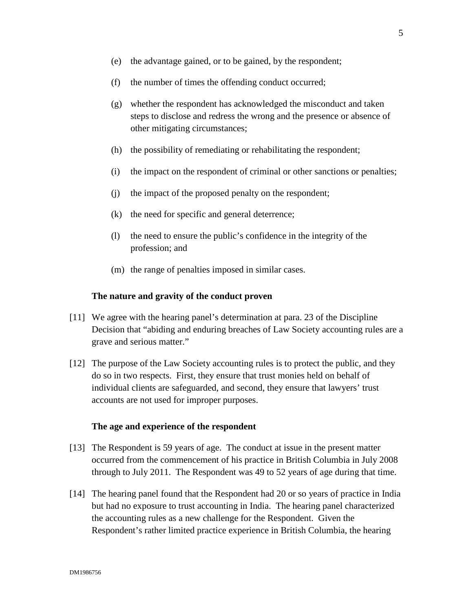- (f) the number of times the offending conduct occurred;
- (g) whether the respondent has acknowledged the misconduct and taken steps to disclose and redress the wrong and the presence or absence of other mitigating circumstances;
- (h) the possibility of remediating or rehabilitating the respondent;
- (i) the impact on the respondent of criminal or other sanctions or penalties;
- (j) the impact of the proposed penalty on the respondent;
- (k) the need for specific and general deterrence;
- (l) the need to ensure the public's confidence in the integrity of the profession; and
- (m) the range of penalties imposed in similar cases.

#### **The nature and gravity of the conduct proven**

- [11] We agree with the hearing panel's determination at para. 23 of the Discipline Decision that "abiding and enduring breaches of Law Society accounting rules are a grave and serious matter."
- [12] The purpose of the Law Society accounting rules is to protect the public, and they do so in two respects. First, they ensure that trust monies held on behalf of individual clients are safeguarded, and second, they ensure that lawyers' trust accounts are not used for improper purposes.

### **The age and experience of the respondent**

- [13] The Respondent is 59 years of age. The conduct at issue in the present matter occurred from the commencement of his practice in British Columbia in July 2008 through to July 2011. The Respondent was 49 to 52 years of age during that time.
- [14] The hearing panel found that the Respondent had 20 or so years of practice in India but had no exposure to trust accounting in India. The hearing panel characterized the accounting rules as a new challenge for the Respondent. Given the Respondent's rather limited practice experience in British Columbia, the hearing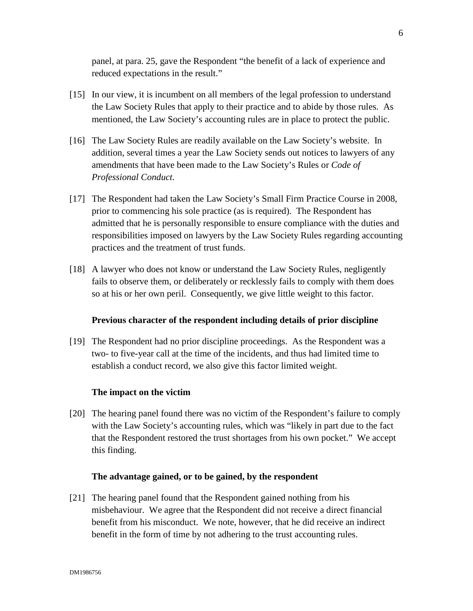panel, at para. 25, gave the Respondent "the benefit of a lack of experience and reduced expectations in the result."

- [15] In our view, it is incumbent on all members of the legal profession to understand the Law Society Rules that apply to their practice and to abide by those rules. As mentioned, the Law Society's accounting rules are in place to protect the public.
- [16] The Law Society Rules are readily available on the Law Society's website. In addition, several times a year the Law Society sends out notices to lawyers of any amendments that have been made to the Law Society's Rules or *Code of Professional Conduct*.
- [17] The Respondent had taken the Law Society's Small Firm Practice Course in 2008, prior to commencing his sole practice (as is required). The Respondent has admitted that he is personally responsible to ensure compliance with the duties and responsibilities imposed on lawyers by the Law Society Rules regarding accounting practices and the treatment of trust funds.
- [18] A lawyer who does not know or understand the Law Society Rules, negligently fails to observe them, or deliberately or recklessly fails to comply with them does so at his or her own peril. Consequently, we give little weight to this factor.

### **Previous character of the respondent including details of prior discipline**

[19] The Respondent had no prior discipline proceedings. As the Respondent was a two- to five-year call at the time of the incidents, and thus had limited time to establish a conduct record, we also give this factor limited weight.

#### **The impact on the victim**

[20] The hearing panel found there was no victim of the Respondent's failure to comply with the Law Society's accounting rules, which was "likely in part due to the fact that the Respondent restored the trust shortages from his own pocket." We accept this finding.

#### **The advantage gained, or to be gained, by the respondent**

[21] The hearing panel found that the Respondent gained nothing from his misbehaviour. We agree that the Respondent did not receive a direct financial benefit from his misconduct. We note, however, that he did receive an indirect benefit in the form of time by not adhering to the trust accounting rules.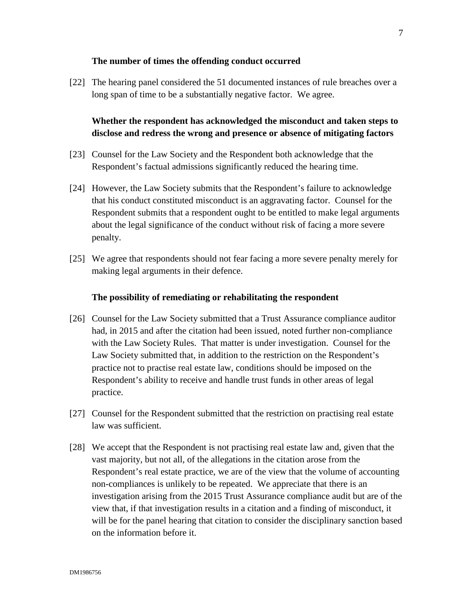### **The number of times the offending conduct occurred**

[22] The hearing panel considered the 51 documented instances of rule breaches over a long span of time to be a substantially negative factor. We agree.

**Whether the respondent has acknowledged the misconduct and taken steps to disclose and redress the wrong and presence or absence of mitigating factors**

- [23] Counsel for the Law Society and the Respondent both acknowledge that the Respondent's factual admissions significantly reduced the hearing time.
- [24] However, the Law Society submits that the Respondent's failure to acknowledge that his conduct constituted misconduct is an aggravating factor. Counsel for the Respondent submits that a respondent ought to be entitled to make legal arguments about the legal significance of the conduct without risk of facing a more severe penalty.
- [25] We agree that respondents should not fear facing a more severe penalty merely for making legal arguments in their defence.

#### **The possibility of remediating or rehabilitating the respondent**

- [26] Counsel for the Law Society submitted that a Trust Assurance compliance auditor had, in 2015 and after the citation had been issued, noted further non-compliance with the Law Society Rules. That matter is under investigation. Counsel for the Law Society submitted that, in addition to the restriction on the Respondent's practice not to practise real estate law, conditions should be imposed on the Respondent's ability to receive and handle trust funds in other areas of legal practice.
- [27] Counsel for the Respondent submitted that the restriction on practising real estate law was sufficient.
- [28] We accept that the Respondent is not practising real estate law and, given that the vast majority, but not all, of the allegations in the citation arose from the Respondent's real estate practice, we are of the view that the volume of accounting non-compliances is unlikely to be repeated. We appreciate that there is an investigation arising from the 2015 Trust Assurance compliance audit but are of the view that, if that investigation results in a citation and a finding of misconduct, it will be for the panel hearing that citation to consider the disciplinary sanction based on the information before it.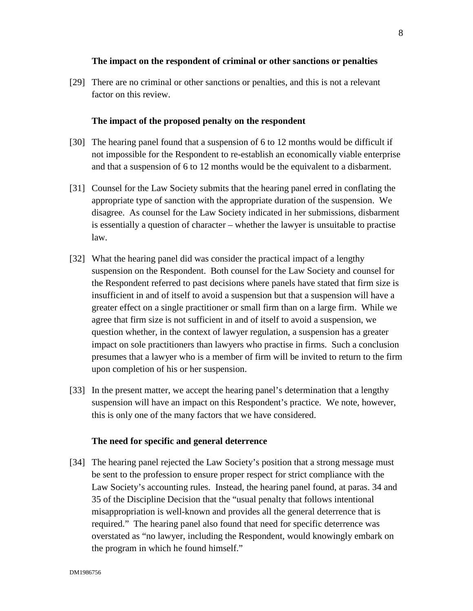#### **The impact on the respondent of criminal or other sanctions or penalties**

[29] There are no criminal or other sanctions or penalties, and this is not a relevant factor on this review.

### **The impact of the proposed penalty on the respondent**

- [30] The hearing panel found that a suspension of 6 to 12 months would be difficult if not impossible for the Respondent to re-establish an economically viable enterprise and that a suspension of 6 to 12 months would be the equivalent to a disbarment.
- [31] Counsel for the Law Society submits that the hearing panel erred in conflating the appropriate type of sanction with the appropriate duration of the suspension. We disagree. As counsel for the Law Society indicated in her submissions, disbarment is essentially a question of character – whether the lawyer is unsuitable to practise law.
- [32] What the hearing panel did was consider the practical impact of a lengthy suspension on the Respondent. Both counsel for the Law Society and counsel for the Respondent referred to past decisions where panels have stated that firm size is insufficient in and of itself to avoid a suspension but that a suspension will have a greater effect on a single practitioner or small firm than on a large firm. While we agree that firm size is not sufficient in and of itself to avoid a suspension, we question whether, in the context of lawyer regulation, a suspension has a greater impact on sole practitioners than lawyers who practise in firms. Such a conclusion presumes that a lawyer who is a member of firm will be invited to return to the firm upon completion of his or her suspension.
- [33] In the present matter, we accept the hearing panel's determination that a lengthy suspension will have an impact on this Respondent's practice. We note, however, this is only one of the many factors that we have considered.

#### **The need for specific and general deterrence**

[34] The hearing panel rejected the Law Society's position that a strong message must be sent to the profession to ensure proper respect for strict compliance with the Law Society's accounting rules. Instead, the hearing panel found, at paras. 34 and 35 of the Discipline Decision that the "usual penalty that follows intentional misappropriation is well-known and provides all the general deterrence that is required." The hearing panel also found that need for specific deterrence was overstated as "no lawyer, including the Respondent, would knowingly embark on the program in which he found himself."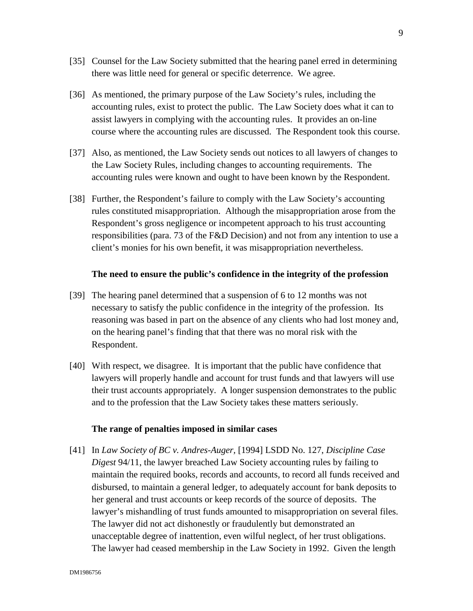- [35] Counsel for the Law Society submitted that the hearing panel erred in determining there was little need for general or specific deterrence. We agree.
- [36] As mentioned, the primary purpose of the Law Society's rules, including the accounting rules, exist to protect the public. The Law Society does what it can to assist lawyers in complying with the accounting rules. It provides an on-line course where the accounting rules are discussed. The Respondent took this course.
- [37] Also, as mentioned, the Law Society sends out notices to all lawyers of changes to the Law Society Rules, including changes to accounting requirements. The accounting rules were known and ought to have been known by the Respondent.
- [38] Further, the Respondent's failure to comply with the Law Society's accounting rules constituted misappropriation. Although the misappropriation arose from the Respondent's gross negligence or incompetent approach to his trust accounting responsibilities (para. 73 of the F&D Decision) and not from any intention to use a client's monies for his own benefit, it was misappropriation nevertheless.

#### **The need to ensure the public's confidence in the integrity of the profession**

- [39] The hearing panel determined that a suspension of 6 to 12 months was not necessary to satisfy the public confidence in the integrity of the profession. Its reasoning was based in part on the absence of any clients who had lost money and, on the hearing panel's finding that that there was no moral risk with the Respondent.
- [40] With respect, we disagree. It is important that the public have confidence that lawyers will properly handle and account for trust funds and that lawyers will use their trust accounts appropriately. A longer suspension demonstrates to the public and to the profession that the Law Society takes these matters seriously.

### **The range of penalties imposed in similar cases**

[41] In *Law Society of BC v. Andres-Auger,* [1994] LSDD No. 127, *Discipline Case Digest* 94/11, the lawyer breached Law Society accounting rules by failing to maintain the required books, records and accounts, to record all funds received and disbursed, to maintain a general ledger, to adequately account for bank deposits to her general and trust accounts or keep records of the source of deposits. The lawyer's mishandling of trust funds amounted to misappropriation on several files. The lawyer did not act dishonestly or fraudulently but demonstrated an unacceptable degree of inattention, even wilful neglect, of her trust obligations. The lawyer had ceased membership in the Law Society in 1992. Given the length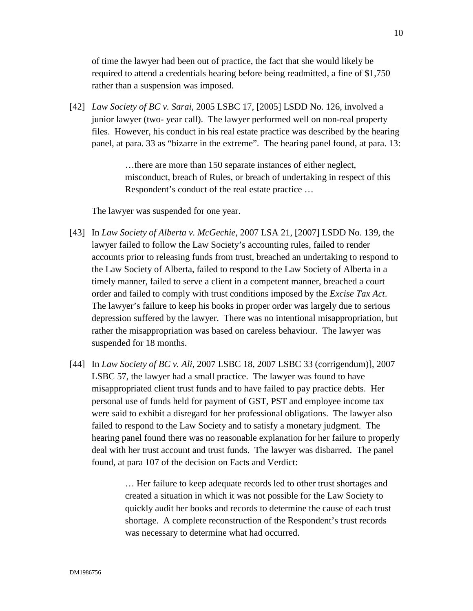of time the lawyer had been out of practice, the fact that she would likely be required to attend a credentials hearing before being readmitted, a fine of \$1,750 rather than a suspension was imposed.

[42] *Law Society of BC v. Sarai*, 2005 LSBC 17, [2005] LSDD No. 126, involved a junior lawyer (two- year call). The lawyer performed well on non-real property files. However, his conduct in his real estate practice was described by the hearing panel, at para. 33 as "bizarre in the extreme". The hearing panel found, at para. 13:

> …there are more than 150 separate instances of either neglect, misconduct, breach of Rules, or breach of undertaking in respect of this Respondent's conduct of the real estate practice …

The lawyer was suspended for one year.

- [43] In *Law Society of Alberta v. McGechie*, 2007 LSA 21, [2007] LSDD No. 139, the lawyer failed to follow the Law Society's accounting rules, failed to render accounts prior to releasing funds from trust, breached an undertaking to respond to the Law Society of Alberta, failed to respond to the Law Society of Alberta in a timely manner, failed to serve a client in a competent manner, breached a court order and failed to comply with trust conditions imposed by the *Excise Tax Act*. The lawyer's failure to keep his books in proper order was largely due to serious depression suffered by the lawyer. There was no intentional misappropriation, but rather the misappropriation was based on careless behaviour. The lawyer was suspended for 18 months.
- [44] In *Law Society of BC v. Ali*, 2007 LSBC 18, 2007 LSBC 33 (corrigendum)], 2007 LSBC 57, the lawyer had a small practice. The lawyer was found to have misappropriated client trust funds and to have failed to pay practice debts. Her personal use of funds held for payment of GST, PST and employee income tax were said to exhibit a disregard for her professional obligations. The lawyer also failed to respond to the Law Society and to satisfy a monetary judgment. The hearing panel found there was no reasonable explanation for her failure to properly deal with her trust account and trust funds. The lawyer was disbarred. The panel found, at para 107 of the decision on Facts and Verdict:

… Her failure to keep adequate records led to other trust shortages and created a situation in which it was not possible for the Law Society to quickly audit her books and records to determine the cause of each trust shortage. A complete reconstruction of the Respondent's trust records was necessary to determine what had occurred.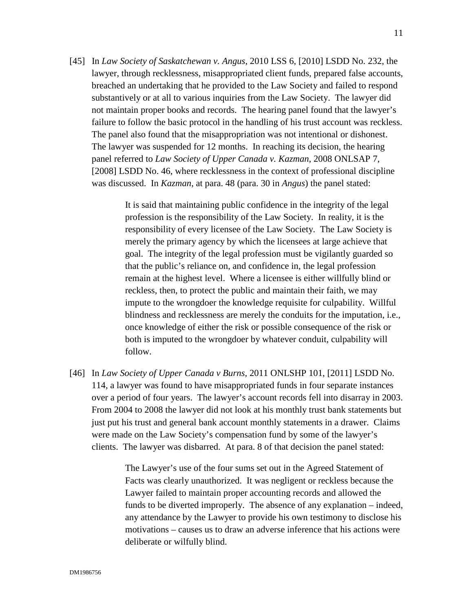[45] In *Law Society of Saskatchewan v. Angus*, 2010 LSS 6, [2010] LSDD No. 232, the lawyer, through recklessness, misappropriated client funds, prepared false accounts, breached an undertaking that he provided to the Law Society and failed to respond substantively or at all to various inquiries from the Law Society. The lawyer did not maintain proper books and records. The hearing panel found that the lawyer's failure to follow the basic protocol in the handling of his trust account was reckless. The panel also found that the misappropriation was not intentional or dishonest. The lawyer was suspended for 12 months. In reaching its decision, the hearing panel referred to *Law Society of Upper Canada v. Kazman,* 2008 ONLSAP 7, [2008] LSDD No. 46, where recklessness in the context of professional discipline was discussed. In *Kazman*, at para. 48 (para. 30 in *Angus*) the panel stated:

> It is said that maintaining public confidence in the integrity of the legal profession is the responsibility of the Law Society. In reality, it is the responsibility of every licensee of the Law Society. The Law Society is merely the primary agency by which the licensees at large achieve that goal. The integrity of the legal profession must be vigilantly guarded so that the public's reliance on, and confidence in, the legal profession remain at the highest level. Where a licensee is either willfully blind or reckless, then, to protect the public and maintain their faith, we may impute to the wrongdoer the knowledge requisite for culpability. Willful blindness and recklessness are merely the conduits for the imputation, i.e., once knowledge of either the risk or possible consequence of the risk or both is imputed to the wrongdoer by whatever conduit, culpability will follow.

[46] In *Law Society of Upper Canada v Burns,* 2011 ONLSHP 101, [2011] LSDD No. 114, a lawyer was found to have misappropriated funds in four separate instances over a period of four years. The lawyer's account records fell into disarray in 2003. From 2004 to 2008 the lawyer did not look at his monthly trust bank statements but just put his trust and general bank account monthly statements in a drawer. Claims were made on the Law Society's compensation fund by some of the lawyer's clients. The lawyer was disbarred. At para. 8 of that decision the panel stated:

> The Lawyer's use of the four sums set out in the Agreed Statement of Facts was clearly unauthorized. It was negligent or reckless because the Lawyer failed to maintain proper accounting records and allowed the funds to be diverted improperly. The absence of any explanation – indeed, any attendance by the Lawyer to provide his own testimony to disclose his motivations – causes us to draw an adverse inference that his actions were deliberate or wilfully blind.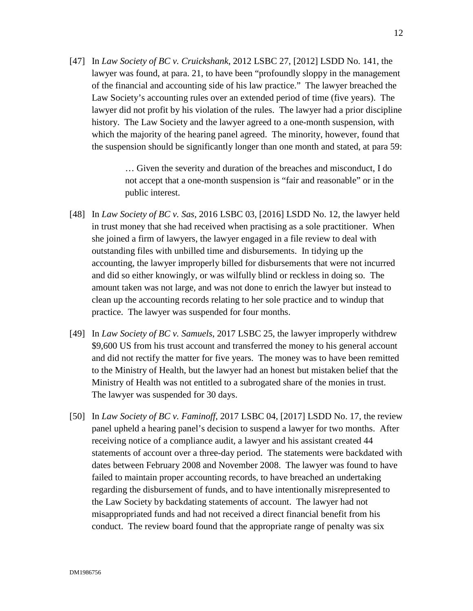[47] In *Law Society of BC v. Cruickshank*, 2012 LSBC 27, [2012] LSDD No. 141, the lawyer was found, at para. 21, to have been "profoundly sloppy in the management of the financial and accounting side of his law practice." The lawyer breached the Law Society's accounting rules over an extended period of time (five years). The lawyer did not profit by his violation of the rules. The lawyer had a prior discipline history. The Law Society and the lawyer agreed to a one-month suspension, with which the majority of the hearing panel agreed. The minority, however, found that the suspension should be significantly longer than one month and stated, at para 59:

> … Given the severity and duration of the breaches and misconduct, I do not accept that a one-month suspension is "fair and reasonable" or in the public interest.

- [48] In *Law Society of BC v. Sas*, 2016 LSBC 03, [2016] LSDD No. 12, the lawyer held in trust money that she had received when practising as a sole practitioner. When she joined a firm of lawyers, the lawyer engaged in a file review to deal with outstanding files with unbilled time and disbursements. In tidying up the accounting, the lawyer improperly billed for disbursements that were not incurred and did so either knowingly, or was wilfully blind or reckless in doing so. The amount taken was not large, and was not done to enrich the lawyer but instead to clean up the accounting records relating to her sole practice and to windup that practice. The lawyer was suspended for four months.
- [49] In *Law Society of BC v. Samuels*, 2017 LSBC 25, the lawyer improperly withdrew \$9,600 US from his trust account and transferred the money to his general account and did not rectify the matter for five years. The money was to have been remitted to the Ministry of Health, but the lawyer had an honest but mistaken belief that the Ministry of Health was not entitled to a subrogated share of the monies in trust. The lawyer was suspended for 30 days.
- [50] In *Law Society of BC v. Faminoff*, 2017 LSBC 04, [2017] LSDD No. 17, the review panel upheld a hearing panel's decision to suspend a lawyer for two months. After receiving notice of a compliance audit, a lawyer and his assistant created 44 statements of account over a three-day period. The statements were backdated with dates between February 2008 and November 2008. The lawyer was found to have failed to maintain proper accounting records, to have breached an undertaking regarding the disbursement of funds, and to have intentionally misrepresented to the Law Society by backdating statements of account. The lawyer had not misappropriated funds and had not received a direct financial benefit from his conduct. The review board found that the appropriate range of penalty was six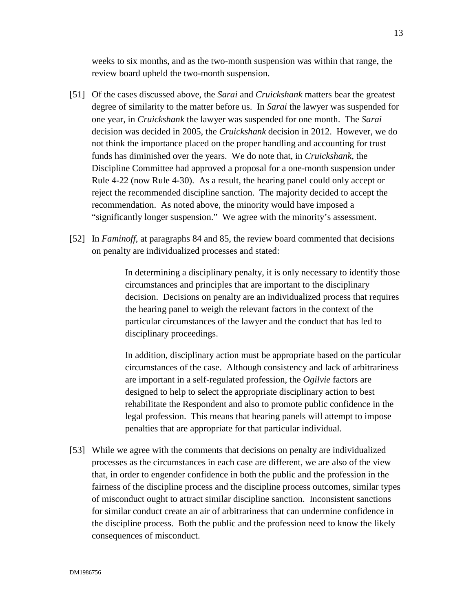weeks to six months, and as the two-month suspension was within that range, the review board upheld the two-month suspension.

- [51] Of the cases discussed above, the *Sarai* and *Cruickshank* matters bear the greatest degree of similarity to the matter before us. In *Sarai* the lawyer was suspended for one year, in *Cruickshank* the lawyer was suspended for one month. The *Sarai*  decision was decided in 2005, the *Cruickshank* decision in 2012. However, we do not think the importance placed on the proper handling and accounting for trust funds has diminished over the years. We do note that, in *Cruickshank*, the Discipline Committee had approved a proposal for a one-month suspension under Rule 4-22 (now Rule 4-30). As a result, the hearing panel could only accept or reject the recommended discipline sanction. The majority decided to accept the recommendation. As noted above, the minority would have imposed a "significantly longer suspension." We agree with the minority's assessment.
- [52] In *Faminoff*, at paragraphs 84 and 85, the review board commented that decisions on penalty are individualized processes and stated:

In determining a disciplinary penalty, it is only necessary to identify those circumstances and principles that are important to the disciplinary decision. Decisions on penalty are an individualized process that requires the hearing panel to weigh the relevant factors in the context of the particular circumstances of the lawyer and the conduct that has led to disciplinary proceedings.

In addition, disciplinary action must be appropriate based on the particular circumstances of the case. Although consistency and lack of arbitrariness are important in a self-regulated profession, the *Ogilvie* factors are designed to help to select the appropriate disciplinary action to best rehabilitate the Respondent and also to promote public confidence in the legal profession. This means that hearing panels will attempt to impose penalties that are appropriate for that particular individual.

[53] While we agree with the comments that decisions on penalty are individualized processes as the circumstances in each case are different, we are also of the view that, in order to engender confidence in both the public and the profession in the fairness of the discipline process and the discipline process outcomes, similar types of misconduct ought to attract similar discipline sanction. Inconsistent sanctions for similar conduct create an air of arbitrariness that can undermine confidence in the discipline process. Both the public and the profession need to know the likely consequences of misconduct.